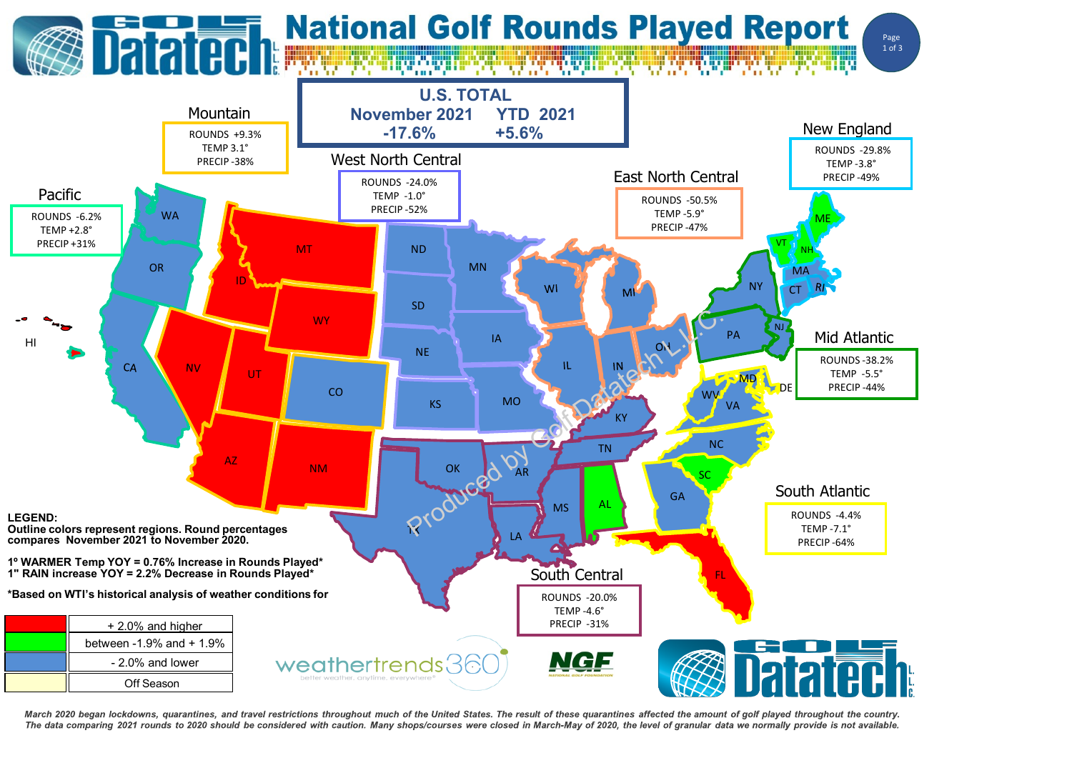

March 2020 began lockdowns, quarantines, and travel restrictions throughout much of the United States. The result of these quarantines affected the amount of golf played throughout the country. The data comparing 2021 rounds to 2020 should be considered with caution. Many shops/courses were closed in March-May of 2020, the level of granular data we normally provide is not available.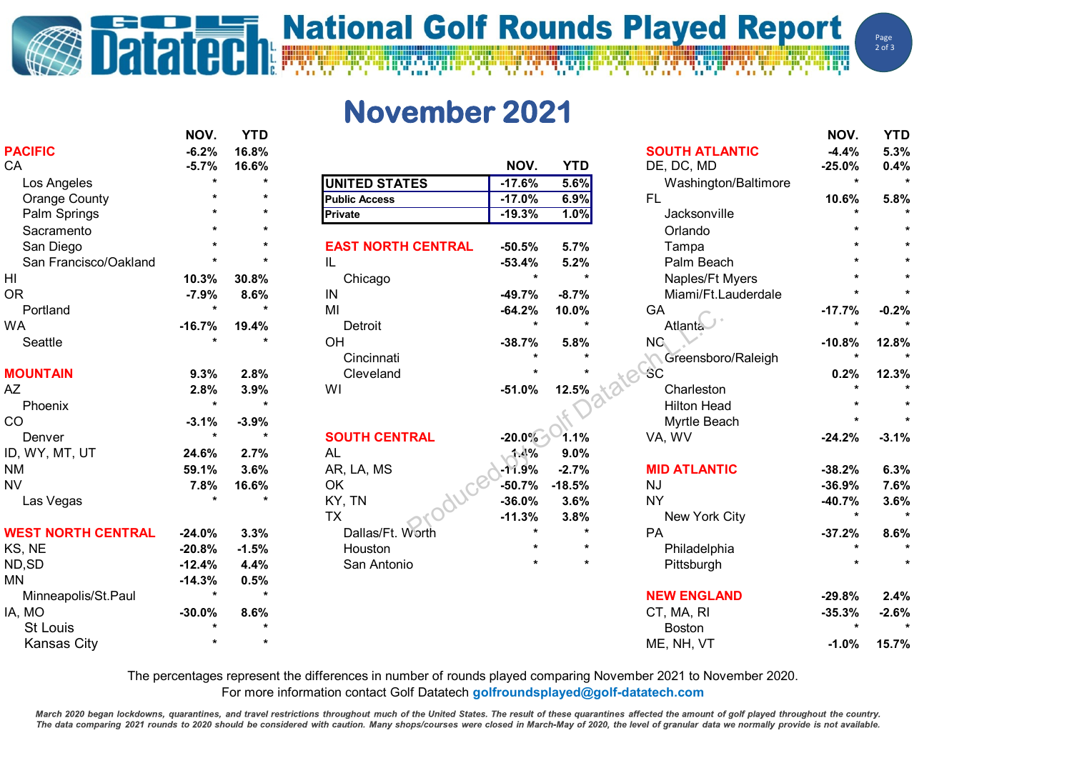## **National Golf Rounds Played Report**

Page  $2$  of  $3$ 

## **November 2021**

**RE** 

|                           | NOV.     | YTD     |                           |          |            |                       | NOV.     | YTD     |
|---------------------------|----------|---------|---------------------------|----------|------------|-----------------------|----------|---------|
| <b>PACIFIC</b>            | $-6.2%$  | 16.8%   |                           |          |            | <b>SOUTH ATLANTIC</b> | $-4.4%$  | 5.3%    |
| CA                        | $-5.7%$  | 16.6%   |                           | NOV.     | <b>YTD</b> | DE, DC, MD            | $-25.0%$ | 0.4%    |
| Los Angeles               |          | $\star$ | <b>UNITED STATES</b>      | $-17.6%$ | 5.6%       | Washington/Baltimore  | $\star$  |         |
| <b>Orange County</b>      |          |         | <b>Public Access</b>      | $-17.0%$ | 6.9%       | <b>FL</b>             | 10.6%    | 5.8%    |
| Palm Springs              |          | $\star$ | Private                   | $-19.3%$ | 1.0%       | Jacksonville          |          |         |
| Sacramento                |          |         |                           |          |            | Orlando               |          |         |
| San Diego                 |          |         | <b>EAST NORTH CENTRAL</b> | $-50.5%$ | 5.7%       | Tampa                 |          |         |
| San Francisco/Oakland     |          |         | IL                        | $-53.4%$ | 5.2%       | Palm Beach            |          |         |
| H <sub>l</sub>            | 10.3%    | 30.8%   | Chicago                   | $\star$  |            | Naples/Ft Myers       |          |         |
| <b>OR</b>                 | $-7.9%$  | 8.6%    | IN                        | $-49.7%$ | $-8.7%$    | Miami/Ft.Lauderdale   |          |         |
| Portland                  |          | $\star$ | MI                        | $-64.2%$ | 10.0%      | GA                    | $-17.7%$ | $-0.2%$ |
| <b>WA</b>                 | $-16.7%$ | 19.4%   | Detroit                   | $\star$  | $\star$    | <b>Atlanta</b>        | $\star$  |         |
| Seattle                   |          |         | OH                        | $-38.7%$ | 5.8%       | NG.                   | $-10.8%$ | 12.8%   |
|                           |          |         | Cincinnati                |          |            | Greensboro/Raleigh    |          |         |
| <b>MOUNTAIN</b>           | 9.3%     | 2.8%    | Cleveland                 |          |            | -SC                   | 0.2%     | 12.3%   |
| AZ                        | 2.8%     | 3.9%    | WI                        | $-51.0%$ | 12.5%      | Charleston            |          |         |
| Phoenix                   |          |         |                           |          |            | <b>Hilton Head</b>    |          |         |
| CO                        | $-3.1%$  | $-3.9%$ |                           |          |            | Myrtle Beach          |          |         |
| Denver                    | $\star$  | $\star$ | <b>SOUTH CENTRAL</b>      | $-20.0%$ | 1.1%       | VA, WV                | $-24.2%$ | $-3.1%$ |
| ID, WY, MT, UT            | 24.6%    | 2.7%    | <b>AL</b>                 | 1.4%     | 9.0%       |                       |          |         |
| <b>NM</b>                 | 59.1%    | 3.6%    | AR, LA, MS                | $-11.9%$ | $-2.7%$    | <b>MID ATLANTIC</b>   | $-38.2%$ | 6.3%    |
| <b>NV</b>                 | 7.8%     | 16.6%   | OK                        | $-50.7%$ | $-18.5%$   | <b>NJ</b>             | $-36.9%$ | 7.6%    |
| Las Vegas                 |          |         | KY, TN                    | $-36.0%$ | 3.6%       | <b>NY</b>             | $-40.7%$ | 3.6%    |
|                           |          |         | <b>TX</b>                 | $-11.3%$ | 3.8%       | New York City         | $\star$  |         |
| <b>WEST NORTH CENTRAL</b> | $-24.0%$ | 3.3%    | Dallas/Ft. Worth          |          | $\star$    | PA                    | $-37.2%$ | 8.6%    |
| KS, NE                    | $-20.8%$ | $-1.5%$ | Houston                   |          | $\star$    | Philadelphia          |          |         |
| ND, SD                    | $-12.4%$ | 4.4%    | San Antonio               |          |            | Pittsburgh            |          |         |
| <b>MN</b>                 | $-14.3%$ | 0.5%    |                           |          |            |                       |          |         |
| Minneapolis/St.Paul       |          | $\star$ |                           |          |            | <b>NEW ENGLAND</b>    | $-29.8%$ | 2.4%    |
| IA, MO                    | $-30.0%$ | 8.6%    |                           |          |            | CT, MA, RI            | $-35.3%$ | $-2.6%$ |
| <b>St Louis</b>           |          |         |                           |          |            | <b>Boston</b>         |          |         |
| <b>Kansas City</b>        |          | $\star$ |                           |          |            | ME, NH, VT            | $-1.0%$  | 15.7%   |

The percentages represent the differences in number of rounds played comparing November 2021 to November 2020.

For more information contact Golf Datatech **golfroundsplayed@golf-datatech.com** 

March 2020 began lockdowns, quarantines, and travel restrictions throughout much of the United States. The result of these quarantines affected the amount of golf played throughout the country. The data comparing 2021 rounds to 2020 should be considered with caution. Many shops/courses were closed in March-May of 2020, the level of granular data we normally provide is not available.